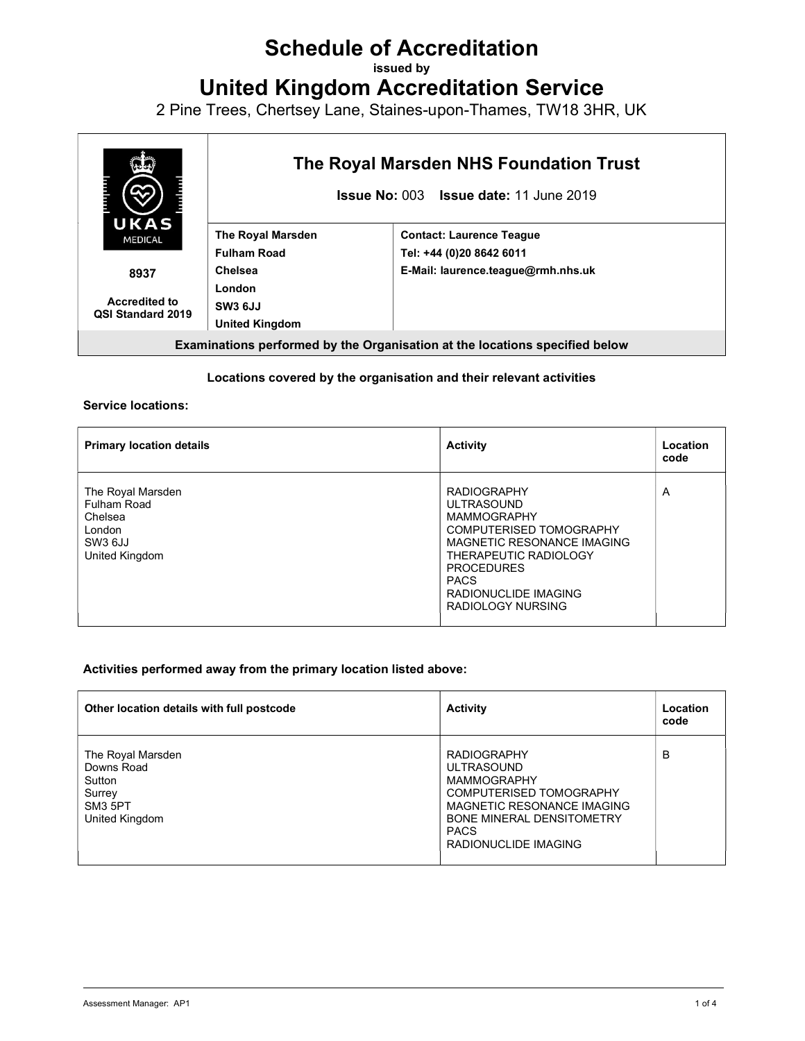# Schedule of Accreditation

issued by

United Kingdom Accreditation Service

2 Pine Trees, Chertsey Lane, Staines-upon-Thames, TW18 3HR, UK



#### Locations covered by the organisation and their relevant activities

#### Service locations:

| <b>Primary location details</b>                                                    | <b>Activity</b>                                                                                                                                                                                                                  | Location<br>code |
|------------------------------------------------------------------------------------|----------------------------------------------------------------------------------------------------------------------------------------------------------------------------------------------------------------------------------|------------------|
| The Royal Marsden<br>Fulham Road<br>Chelsea<br>London<br>SW3 6JJ<br>United Kingdom | <b>RADIOGRAPHY</b><br><b>ULTRASOUND</b><br><b>MAMMOGRAPHY</b><br>COMPUTERISED TOMOGRAPHY<br>MAGNETIC RESONANCE IMAGING<br>THERAPEUTIC RADIOLOGY<br><b>PROCEDURES</b><br><b>PACS</b><br>RADIONUCLIDE IMAGING<br>RADIOLOGY NURSING | $\overline{A}$   |

#### Activities performed away from the primary location listed above:

| Other location details with full postcode                                                    | <b>Activity</b>                                                                                                                                                                            | Location<br>code |
|----------------------------------------------------------------------------------------------|--------------------------------------------------------------------------------------------------------------------------------------------------------------------------------------------|------------------|
| The Royal Marsden<br>Downs Road<br>Sutton<br>Surrey<br>SM <sub>3</sub> 5PT<br>United Kingdom | <b>RADIOGRAPHY</b><br><b>ULTRASOUND</b><br><b>MAMMOGRAPHY</b><br>COMPUTERISED TOMOGRAPHY<br>MAGNETIC RESONANCE IMAGING<br>BONE MINERAL DENSITOMETRY<br><b>PACS</b><br>RADIONUCLIDE IMAGING | B                |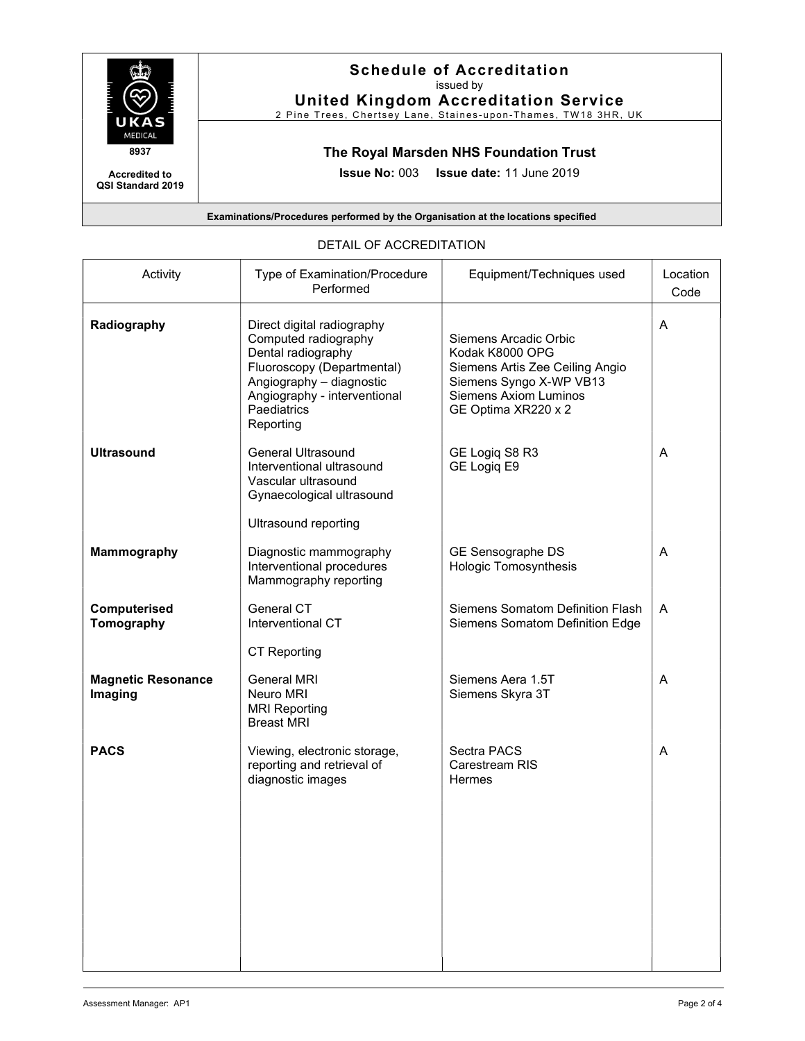

### Schedule of Accreditation issued by

United Kingdom Accreditation Service

2 Pine Trees, Chertsey Lane, Staines-upon-Thames, TW18 3HR, UK

# The Royal Marsden NHS Foundation Trust

Issue No: 003 Issue date: 11 June 2019

Examinations/Procedures performed by the Organisation at the locations specified

#### DETAIL OF ACCREDITATION

| Activity                             | Type of Examination/Procedure<br>Performed                                                                                                                                                     | Equipment/Techniques used                                                                                                                                     | Location<br>Code |
|--------------------------------------|------------------------------------------------------------------------------------------------------------------------------------------------------------------------------------------------|---------------------------------------------------------------------------------------------------------------------------------------------------------------|------------------|
| Radiography                          | Direct digital radiography<br>Computed radiography<br>Dental radiography<br>Fluoroscopy (Departmental)<br>Angiography - diagnostic<br>Angiography - interventional<br>Paediatrics<br>Reporting | Siemens Arcadic Orbic<br>Kodak K8000 OPG<br>Siemens Artis Zee Ceiling Angio<br>Siemens Syngo X-WP VB13<br><b>Siemens Axiom Luminos</b><br>GE Optima XR220 x 2 | A                |
| <b>Ultrasound</b>                    | <b>General Ultrasound</b><br>Interventional ultrasound<br>Vascular ultrasound<br>Gynaecological ultrasound                                                                                     | GE Logiq S8 R3<br>GE Logiq E9                                                                                                                                 | A                |
| <b>Mammography</b>                   | <b>Ultrasound reporting</b><br>Diagnostic mammography<br>Interventional procedures<br>Mammography reporting                                                                                    | GE Sensographe DS<br>Hologic Tomosynthesis                                                                                                                    | A                |
| Computerised<br>Tomography           | General CT<br>Interventional CT                                                                                                                                                                | Siemens Somatom Definition Flash<br>Siemens Somatom Definition Edge                                                                                           | A                |
|                                      | <b>CT Reporting</b>                                                                                                                                                                            |                                                                                                                                                               |                  |
| <b>Magnetic Resonance</b><br>Imaging | <b>General MRI</b><br>Neuro MRI<br><b>MRI Reporting</b><br><b>Breast MRI</b>                                                                                                                   | Siemens Aera 1.5T<br>Siemens Skyra 3T                                                                                                                         | A                |
| <b>PACS</b>                          | Viewing, electronic storage,<br>reporting and retrieval of<br>diagnostic images                                                                                                                | Sectra PACS<br>Carestream RIS<br>Hermes                                                                                                                       | A                |
|                                      |                                                                                                                                                                                                |                                                                                                                                                               |                  |
|                                      |                                                                                                                                                                                                |                                                                                                                                                               |                  |

Accredited to QSI Standard 2019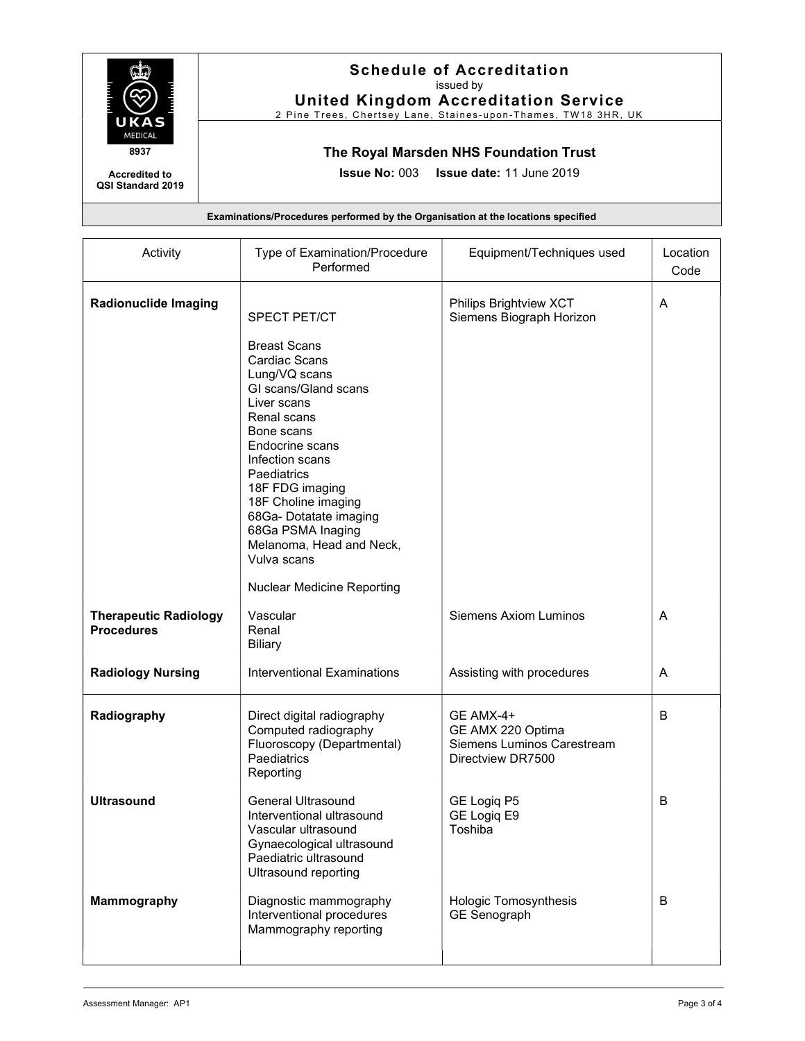

Accredited to QSI Standard 2019

### Schedule of Accreditation issued by

United Kingdom Accreditation Service 2 Pine Trees, Chertsey Lane, Staines-upon-Thames, TW18 3HR, UK

# The Royal Marsden NHS Foundation Trust

Issue No: 003 Issue date: 11 June 2019

Examinations/Procedures performed by the Organisation at the locations specified

| Activity                                          | Type of Examination/Procedure<br>Performed                                                                                                                                                                                                                                                                                                                                     | Equipment/Techniques used                                                         | Location<br>Code |
|---------------------------------------------------|--------------------------------------------------------------------------------------------------------------------------------------------------------------------------------------------------------------------------------------------------------------------------------------------------------------------------------------------------------------------------------|-----------------------------------------------------------------------------------|------------------|
| <b>Radionuclide Imaging</b>                       | <b>SPECT PET/CT</b><br><b>Breast Scans</b><br>Cardiac Scans<br>Lung/VQ scans<br>GI scans/Gland scans<br>Liver scans<br>Renal scans<br>Bone scans<br>Endocrine scans<br>Infection scans<br>Paediatrics<br>18F FDG imaging<br>18F Choline imaging<br>68Ga- Dotatate imaging<br>68Ga PSMA Inaging<br>Melanoma, Head and Neck,<br>Vulva scans<br><b>Nuclear Medicine Reporting</b> | Philips Brightview XCT<br>Siemens Biograph Horizon                                | A                |
| <b>Therapeutic Radiology</b><br><b>Procedures</b> | Vascular<br>Renal<br><b>Biliary</b>                                                                                                                                                                                                                                                                                                                                            | Siemens Axiom Luminos                                                             | A                |
| <b>Radiology Nursing</b>                          | <b>Interventional Examinations</b>                                                                                                                                                                                                                                                                                                                                             | Assisting with procedures                                                         | A                |
| Radiography                                       | Direct digital radiography<br>Computed radiography<br>Fluoroscopy (Departmental)<br>Paediatrics<br>Reporting                                                                                                                                                                                                                                                                   | GE AMX-4+<br>GE AMX 220 Optima<br>Siemens Luminos Carestream<br>Directview DR7500 | B                |
| <b>Ultrasound</b>                                 | <b>General Ultrasound</b><br>Interventional ultrasound<br>Vascular ultrasound<br>Gynaecological ultrasound<br>Paediatric ultrasound<br><b>Ultrasound reporting</b>                                                                                                                                                                                                             | GE Logiq P5<br>GE Logiq E9<br>Toshiba                                             | B                |
| Mammography                                       | Diagnostic mammography<br>Interventional procedures<br>Mammography reporting                                                                                                                                                                                                                                                                                                   | <b>Hologic Tomosynthesis</b><br><b>GE Senograph</b>                               | B                |